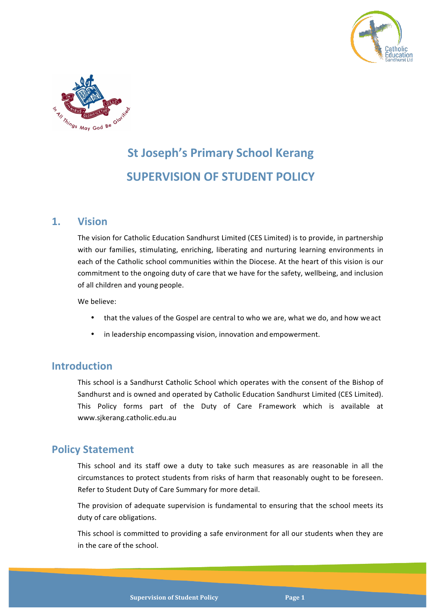



# **St Joseph's Primary School Kerang SUPERVISION OF STUDENT POLICY**

## **1. Vision**

The vision for Catholic Education Sandhurst Limited (CES Limited) is to provide, in partnership with our families, stimulating, enriching, liberating and nurturing learning environments in each of the Catholic school communities within the Diocese. At the heart of this vision is our commitment to the ongoing duty of care that we have for the safety, wellbeing, and inclusion of all children and young people.

We believe:

- that the values of the Gospel are central to who we are, what we do, and how we act
- in leadership encompassing vision, innovation and empowerment.

## **Introduction**

This school is a Sandhurst Catholic School which operates with the consent of the Bishop of Sandhurst and is owned and operated by Catholic Education Sandhurst Limited (CES Limited). This Policy forms part of the Duty of Care Framework which is available at www.sjkerang.catholic.edu.au

## **Policy Statement**

This school and its staff owe a duty to take such measures as are reasonable in all the circumstances to protect students from risks of harm that reasonably ought to be foreseen. Refer to Student Duty of Care Summary for more detail.

The provision of adequate supervision is fundamental to ensuring that the school meets its duty of care obligations.

This school is committed to providing a safe environment for all our students when they are in the care of the school.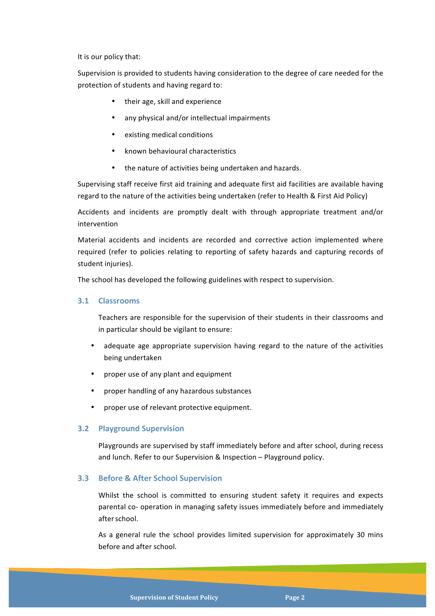It is our policy that:

Supervision is provided to students having consideration to the degree of care needed for the protection of students and having regard to:

- their age, skill and experience
- any physical and/or intellectual impairments
- existing medical conditions
- known behavioural characteristics
- the nature of activities being undertaken and hazards.

Supervising staff receive first aid training and adequate first aid facilities are available having regard to the nature of the activities being undertaken (refer to Health & First Aid Policy)

Accidents and incidents are promptly dealt with through appropriate treatment and/or intervention

Material accidents and incidents are recorded and corrective action implemented where required (refer to policies relating to reporting of safety hazards and capturing records of student injuries).

The school has developed the following guidelines with respect to supervision.

#### **3.1 Classrooms**

Teachers are responsible for the supervision of their students in their classrooms and in particular should be vigilant to ensure:

- adequate age appropriate supervision having regard to the nature of the activities being undertaken
- proper use of any plant and equipment
- proper handling of any hazardous substances
- proper use of relevant protective equipment.

#### **3.2 Playground Supervision**

Playgrounds are supervised by staff immediately before and after school, during recess and lunch. Refer to our Supervision & Inspection – Playground policy.

#### **3.3 Before & After School Supervision**

Whilst the school is committed to ensuring student safety it requires and expects parental co- operation in managing safety issues immediately before and immediately afterschool.

As a general rule the school provides limited supervision for approximately 30 mins before and after school.